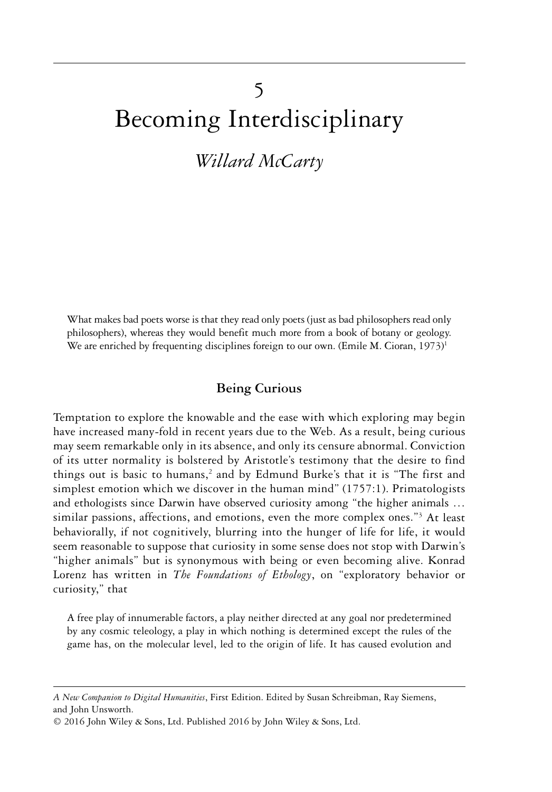# Becoming Interdisciplinary 5

*Willard McCarty*

What makes bad poets worse is that they read only poets (just as bad philosophers read only philosophers), whereas they would benefit much more from a book of botany or geology. We are enriched by frequenting disciplines foreign to our own. (Emile M. Cioran,  $1973$ )<sup>1</sup>

# **Being Curious**

Temptation to explore the knowable and the ease with which exploring may begin have increased many-fold in recent years due to the Web. As a result, being curious may seem remarkable only in its absence, and only its censure abnormal. Conviction of its utter normality is bolstered by Aristotle's testimony that the desire to find things out is basic to humans,<sup>2</sup> and by Edmund Burke's that it is "The first and simplest emotion which we discover in the human mind" (1757:1). Primatologists and ethologists since Darwin have observed curiosity among "the higher animals … similar passions, affections, and emotions, even the more complex ones."3 At least behaviorally, if not cognitively, blurring into the hunger of life for life, it would seem reasonable to suppose that curiosity in some sense does not stop with Darwin's "higher animals" but is synonymous with being or even becoming alive. Konrad Lorenz has written in *The Foundations of Ethology*, on "exploratory behavior or curiosity," that

A free play of innumerable factors, a play neither directed at any goal nor predetermined by any cosmic teleology, a play in which nothing is determined except the rules of the game has, on the molecular level, led to the origin of life. It has caused evolution and

*A New Companion to Digital Humanities*, First Edition. Edited by Susan Schreibman, Ray Siemens, and John Unsworth.

<sup>© 2016</sup> John Wiley & Sons, Ltd. Published 2016 by John Wiley & Sons, Ltd.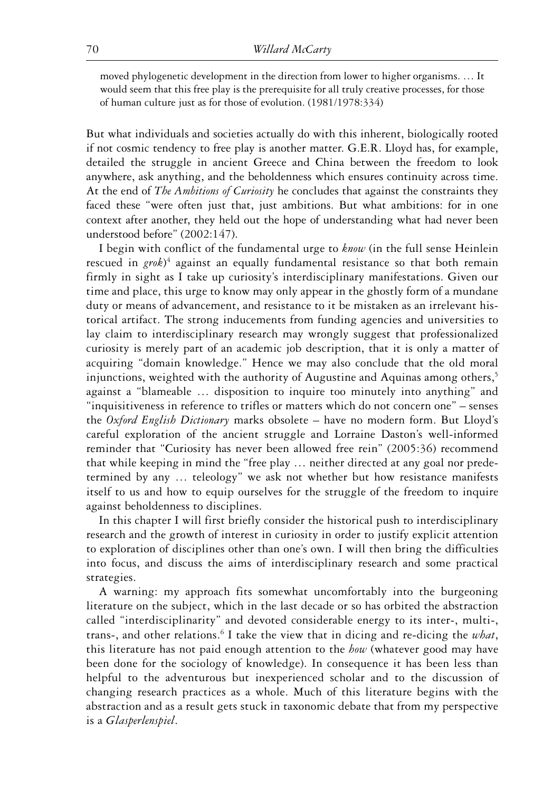moved phylogenetic development in the direction from lower to higher organisms. … It would seem that this free play is the prerequisite for all truly creative processes, for those of human culture just as for those of evolution. (1981/1978:334)

But what individuals and societies actually do with this inherent, biologically rooted if not cosmic tendency to free play is another matter. G.E.R. Lloyd has, for example, detailed the struggle in ancient Greece and China between the freedom to look anywhere, ask anything, and the beholdenness which ensures continuity across time. At the end of *The Ambitions of Curiosity* he concludes that against the constraints they faced these "were often just that, just ambitions. But what ambitions: for in one context after another, they held out the hope of understanding what had never been understood before" (2002:147).

I begin with conflict of the fundamental urge to *know* (in the full sense Heinlein rescued in *grok*) 4 against an equally fundamental resistance so that both remain firmly in sight as I take up curiosity's interdisciplinary manifestations. Given our time and place, this urge to know may only appear in the ghostly form of a mundane duty or means of advancement, and resistance to it be mistaken as an irrelevant historical artifact. The strong inducements from funding agencies and universities to lay claim to interdisciplinary research may wrongly suggest that professionalized curiosity is merely part of an academic job description, that it is only a matter of acquiring "domain knowledge." Hence we may also conclude that the old moral injunctions, weighted with the authority of Augustine and Aquinas among others, $5$ against a "blameable … disposition to inquire too minutely into anything" and "inquisitiveness in reference to trifles or matters which do not concern one" – senses the *Oxford English Dictionary* marks obsolete – have no modern form. But Lloyd's careful exploration of the ancient struggle and Lorraine Daston's well‐informed reminder that "Curiosity has never been allowed free rein" (2005:36) recommend that while keeping in mind the "free play … neither directed at any goal nor predetermined by any … teleology" we ask not whether but how resistance manifests itself to us and how to equip ourselves for the struggle of the freedom to inquire against beholdenness to disciplines.

In this chapter I will first briefly consider the historical push to interdisciplinary research and the growth of interest in curiosity in order to justify explicit attention to exploration of disciplines other than one's own. I will then bring the difficulties into focus, and discuss the aims of interdisciplinary research and some practical strategies.

A warning: my approach fits somewhat uncomfortably into the burgeoning literature on the subject, which in the last decade or so has orbited the abstraction called "interdisciplinarity" and devoted considerable energy to its inter-, multi-, trans‐, and other relations.6 I take the view that in dicing and re‐dicing the *what*, this literature has not paid enough attention to the *how* (whatever good may have been done for the sociology of knowledge). In consequence it has been less than helpful to the adventurous but inexperienced scholar and to the discussion of changing research practices as a whole. Much of this literature begins with the abstraction and as a result gets stuck in taxonomic debate that from my perspective is a *Glasperlenspiel*.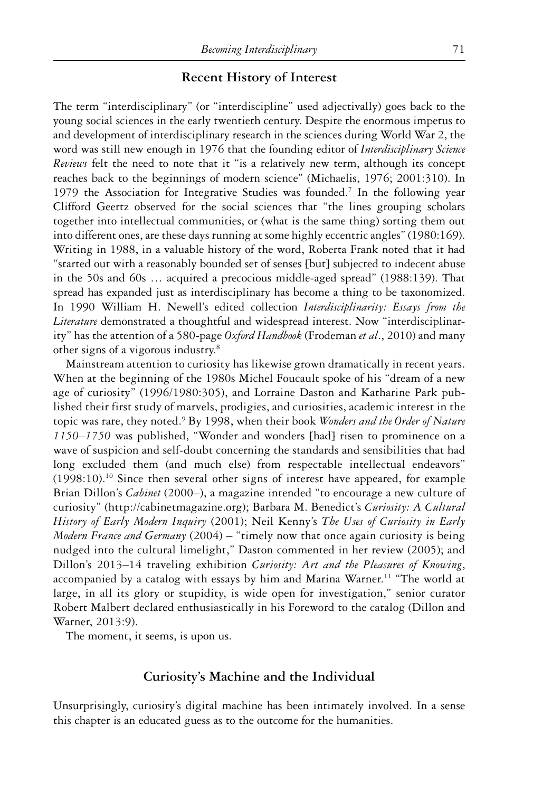#### **Recent History of Interest**

The term "interdisciplinary" (or "interdiscipline" used adjectivally) goes back to the young social sciences in the early twentieth century. Despite the enormous impetus to and development of interdisciplinary research in the sciences during World War 2, the word was still new enough in 1976 that the founding editor of *Interdisciplinary Science Reviews* felt the need to note that it "is a relatively new term, although its concept reaches back to the beginnings of modern science" (Michaelis, 1976; 2001:310). In 1979 the Association for Integrative Studies was founded.<sup>7</sup> In the following year Clifford Geertz observed for the social sciences that "the lines grouping scholars together into intellectual communities, or (what is the same thing) sorting them out into different ones, are these days running at some highly eccentric angles" (1980:169). Writing in 1988, in a valuable history of the word, Roberta Frank noted that it had "started out with a reasonably bounded set of senses [but] subjected to indecent abuse in the 50s and 60s … acquired a precocious middle‐aged spread" (1988:139). That spread has expanded just as interdisciplinary has become a thing to be taxonomized. In 1990 William H. Newell's edited collection *Interdisciplinarity: Essays from the Literature* demonstrated a thoughtful and widespread interest. Now "interdisciplinarity" has the attention of a 580‐page *Oxford Handbook* (Frodeman *et al*., 2010) and many other signs of a vigorous industry.8

Mainstream attention to curiosity has likewise grown dramatically in recent years. When at the beginning of the 1980s Michel Foucault spoke of his "dream of a new age of curiosity" (1996/1980:305), and Lorraine Daston and Katharine Park published their first study of marvels, prodigies, and curiosities, academic interest in the topic was rare, they noted.<sup>9</sup> By 1998, when their book *Wonders and the Order of Nature 1150–1750* was published, "Wonder and wonders [had] risen to prominence on a wave of suspicion and self-doubt concerning the standards and sensibilities that had long excluded them (and much else) from respectable intellectual endeavors"  $(1998:10).$ <sup>10</sup> Since then several other signs of interest have appeared, for example Brian Dillon's *Cabinet* (2000–), a magazine intended "to encourage a new culture of curiosity" (http://cabinetmagazine.org); Barbara M. Benedict's *Curiosity: A Cultural History of Early Modern Inquiry* (2001); Neil Kenny's *The Uses of Curiosity in Early Modern France and Germany* (2004) – "timely now that once again curiosity is being nudged into the cultural limelight," Daston commented in her review (2005); and Dillon's 2013–14 traveling exhibition *Curiosity: Art and the Pleasures of Knowing*, accompanied by a catalog with essays by him and Marina Warner.<sup>11</sup> "The world at large, in all its glory or stupidity, is wide open for investigation," senior curator Robert Malbert declared enthusiastically in his Foreword to the catalog (Dillon and Warner, 2013:9).

The moment, it seems, is upon us.

## **Curiosity's Machine and the Individual**

Unsurprisingly, curiosity's digital machine has been intimately involved. In a sense this chapter is an educated guess as to the outcome for the humanities.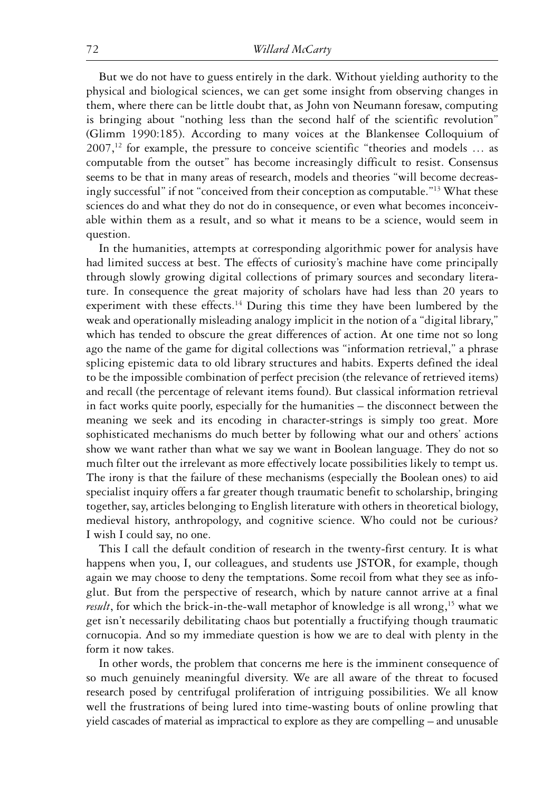But we do not have to guess entirely in the dark. Without yielding authority to the physical and biological sciences, we can get some insight from observing changes in them, where there can be little doubt that, as John von Neumann foresaw, computing is bringing about "nothing less than the second half of the scientific revolution" (Glimm 1990:185). According to many voices at the Blankensee Colloquium of  $2007$ ,<sup>12</sup> for example, the pressure to conceive scientific "theories and models ... as computable from the outset" has become increasingly difficult to resist. Consensus seems to be that in many areas of research, models and theories "will become decreasingly successful" if not "conceived from their conception as computable."13 What these sciences do and what they do not do in consequence, or even what becomes inconceivable within them as a result, and so what it means to be a science, would seem in question.

In the humanities, attempts at corresponding algorithmic power for analysis have had limited success at best. The effects of curiosity's machine have come principally through slowly growing digital collections of primary sources and secondary literature. In consequence the great majority of scholars have had less than 20 years to experiment with these effects.<sup>14</sup> During this time they have been lumbered by the weak and operationally misleading analogy implicit in the notion of a "digital library," which has tended to obscure the great differences of action. At one time not so long ago the name of the game for digital collections was "information retrieval," a phrase splicing epistemic data to old library structures and habits. Experts defined the ideal to be the impossible combination of perfect precision (the relevance of retrieved items) and recall (the percentage of relevant items found). But classical information retrieval in fact works quite poorly, especially for the humanities – the disconnect between the meaning we seek and its encoding in character‐strings is simply too great. More sophisticated mechanisms do much better by following what our and others' actions show we want rather than what we say we want in Boolean language. They do not so much filter out the irrelevant as more effectively locate possibilities likely to tempt us. The irony is that the failure of these mechanisms (especially the Boolean ones) to aid specialist inquiry offers a far greater though traumatic benefit to scholarship, bringing together, say, articles belonging to English literature with others in theoretical biology, medieval history, anthropology, and cognitive science. Who could not be curious? I wish I could say, no one.

This I call the default condition of research in the twenty-first century. It is what happens when you, I, our colleagues, and students use JSTOR, for example, though again we may choose to deny the temptations. Some recoil from what they see as infoglut. But from the perspective of research, which by nature cannot arrive at a final *result*, for which the brick-in-the-wall metaphor of knowledge is all wrong,<sup>15</sup> what we get isn't necessarily debilitating chaos but potentially a fructifying though traumatic cornucopia. And so my immediate question is how we are to deal with plenty in the form it now takes.

In other words, the problem that concerns me here is the imminent consequence of so much genuinely meaningful diversity. We are all aware of the threat to focused research posed by centrifugal proliferation of intriguing possibilities. We all know well the frustrations of being lured into time-wasting bouts of online prowling that yield cascades of material as impractical to explore as they are compelling – and unusable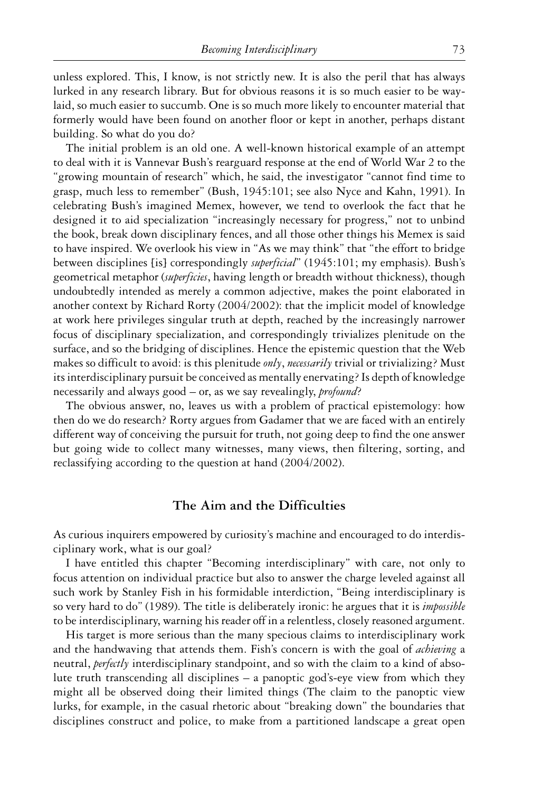unless explored. This, I know, is not strictly new. It is also the peril that has always lurked in any research library. But for obvious reasons it is so much easier to be waylaid, so much easier to succumb. One is so much more likely to encounter material that formerly would have been found on another floor or kept in another, perhaps distant building. So what do you do?

The initial problem is an old one. A well-known historical example of an attempt to deal with it is Vannevar Bush's rearguard response at the end of World War 2 to the "growing mountain of research" which, he said, the investigator "cannot find time to grasp, much less to remember" (Bush, 1945:101; see also Nyce and Kahn, 1991). In celebrating Bush's imagined Memex, however, we tend to overlook the fact that he designed it to aid specialization "increasingly necessary for progress," not to unbind the book, break down disciplinary fences, and all those other things his Memex is said to have inspired. We overlook his view in "As we may think" that "the effort to bridge between disciplines [is] correspondingly *superficial*" (1945:101; my emphasis). Bush's geometrical metaphor (*superficies*, having length or breadth without thickness), though undoubtedly intended as merely a common adjective, makes the point elaborated in another context by Richard Rorty (2004/2002): that the implicit model of knowledge at work here privileges singular truth at depth, reached by the increasingly narrower focus of disciplinary specialization, and correspondingly trivializes plenitude on the surface, and so the bridging of disciplines. Hence the epistemic question that the Web makes so difficult to avoid: is this plenitude *only*, *necessarily* trivial or trivializing? Must its interdisciplinary pursuit be conceived as mentally enervating? Is depth of knowledge necessarily and always good – or, as we say revealingly, *profound*?

The obvious answer, no, leaves us with a problem of practical epistemology: how then do we do research? Rorty argues from Gadamer that we are faced with an entirely different way of conceiving the pursuit for truth, not going deep to find the one answer but going wide to collect many witnesses, many views, then filtering, sorting, and reclassifying according to the question at hand (2004/2002).

# **The Aim and the Difficulties**

As curious inquirers empowered by curiosity's machine and encouraged to do interdisciplinary work, what is our goal?

I have entitled this chapter "Becoming interdisciplinary" with care, not only to focus attention on individual practice but also to answer the charge leveled against all such work by Stanley Fish in his formidable interdiction, "Being interdisciplinary is so very hard to do" (1989). The title is deliberately ironic: he argues that it is *impossible* to be interdisciplinary, warning his reader off in a relentless, closely reasoned argument.

His target is more serious than the many specious claims to interdisciplinary work and the handwaving that attends them. Fish's concern is with the goal of *achieving* a neutral, *perfectly* interdisciplinary standpoint, and so with the claim to a kind of absolute truth transcending all disciplines – a panoptic god's‐eye view from which they might all be observed doing their limited things (The claim to the panoptic view lurks, for example, in the casual rhetoric about "breaking down" the boundaries that disciplines construct and police, to make from a partitioned landscape a great open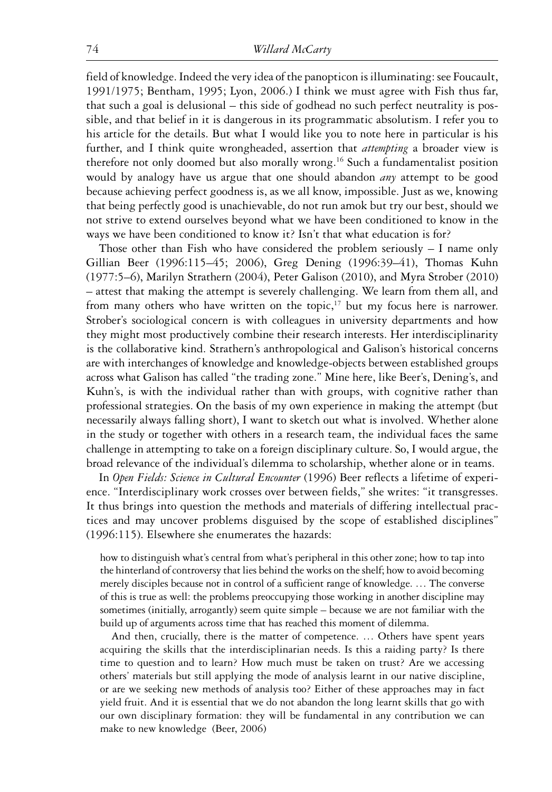field of knowledge. Indeed the very idea of the panopticon is illuminating: see Foucault, 1991/1975; Bentham, 1995; Lyon, 2006.) I think we must agree with Fish thus far, that such a goal is delusional – this side of godhead no such perfect neutrality is possible, and that belief in it is dangerous in its programmatic absolutism. I refer you to his article for the details. But what I would like you to note here in particular is his further, and I think quite wrongheaded, assertion that *attempting* a broader view is therefore not only doomed but also morally wrong.<sup>16</sup> Such a fundamentalist position would by analogy have us argue that one should abandon *any* attempt to be good because achieving perfect goodness is, as we all know, impossible. Just as we, knowing that being perfectly good is unachievable, do not run amok but try our best, should we not strive to extend ourselves beyond what we have been conditioned to know in the ways we have been conditioned to know it? Isn't that what education is for?

Those other than Fish who have considered the problem seriously  $- I$  name only Gillian Beer (1996:115–45; 2006), Greg Dening (1996:39–41), Thomas Kuhn (1977:5–6), Marilyn Strathern (2004), Peter Galison (2010), and Myra Strober (2010) – attest that making the attempt is severely challenging. We learn from them all, and from many others who have written on the topic, $17$  but my focus here is narrower. Strober's sociological concern is with colleagues in university departments and how they might most productively combine their research interests. Her interdisciplinarity is the collaborative kind. Strathern's anthropological and Galison's historical concerns are with interchanges of knowledge and knowledge‐objects between established groups across what Galison has called "the trading zone." Mine here, like Beer's, Dening's, and Kuhn's, is with the individual rather than with groups, with cognitive rather than professional strategies. On the basis of my own experience in making the attempt (but necessarily always falling short), I want to sketch out what is involved. Whether alone in the study or together with others in a research team, the individual faces the same challenge in attempting to take on a foreign disciplinary culture. So, I would argue, the broad relevance of the individual's dilemma to scholarship, whether alone or in teams.

In *Open Fields: Science in Cultural Encounter* (1996) Beer reflects a lifetime of experience. "Interdisciplinary work crosses over between fields," she writes: "it transgresses. It thus brings into question the methods and materials of differing intellectual practices and may uncover problems disguised by the scope of established disciplines" (1996:115). Elsewhere she enumerates the hazards:

how to distinguish what's central from what's peripheral in this other zone; how to tap into the hinterland of controversy that lies behind the works on the shelf; how to avoid becoming merely disciples because not in control of a sufficient range of knowledge. … The converse of this is true as well: the problems preoccupying those working in another discipline may sometimes (initially, arrogantly) seem quite simple – because we are not familiar with the build up of arguments across time that has reached this moment of dilemma.

And then, crucially, there is the matter of competence. … Others have spent years acquiring the skills that the interdisciplinarian needs. Is this a raiding party? Is there time to question and to learn? How much must be taken on trust? Are we accessing others' materials but still applying the mode of analysis learnt in our native discipline, or are we seeking new methods of analysis too? Either of these approaches may in fact yield fruit. And it is essential that we do not abandon the long learnt skills that go with our own disciplinary formation: they will be fundamental in any contribution we can make to new knowledge (Beer, 2006)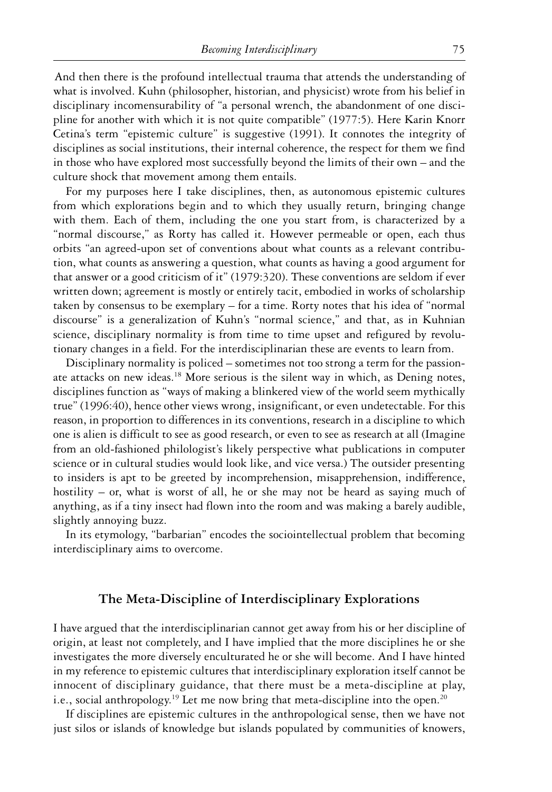And then there is the profound intellectual trauma that attends the understanding of what is involved. Kuhn (philosopher, historian, and physicist) wrote from his belief in disciplinary incomensurability of "a personal wrench, the abandonment of one discipline for another with which it is not quite compatible" (1977:5). Here Karin Knorr Cetina's term "epistemic culture" is suggestive (1991). It connotes the integrity of disciplines as social institutions, their internal coherence, the respect for them we find in those who have explored most successfully beyond the limits of their own – and the culture shock that movement among them entails.

For my purposes here I take disciplines, then, as autonomous epistemic cultures from which explorations begin and to which they usually return, bringing change with them. Each of them, including the one you start from, is characterized by a "normal discourse," as Rorty has called it. However permeable or open, each thus orbits "an agreed‐upon set of conventions about what counts as a relevant contribution, what counts as answering a question, what counts as having a good argument for that answer or a good criticism of it" (1979:320). These conventions are seldom if ever written down; agreement is mostly or entirely tacit, embodied in works of scholarship taken by consensus to be exemplary – for a time. Rorty notes that his idea of "normal discourse" is a generalization of Kuhn's "normal science," and that, as in Kuhnian science, disciplinary normality is from time to time upset and refigured by revolutionary changes in a field. For the interdisciplinarian these are events to learn from.

Disciplinary normality is policed – sometimes not too strong a term for the passionate attacks on new ideas.<sup>18</sup> More serious is the silent way in which, as Dening notes, disciplines function as "ways of making a blinkered view of the world seem mythically true" (1996:40), hence other views wrong, insignificant, or even undetectable. For this reason, in proportion to differences in its conventions, research in a discipline to which one is alien is difficult to see as good research, or even to see as research at all (Imagine from an old‐fashioned philologist's likely perspective what publications in computer science or in cultural studies would look like, and vice versa.) The outsider presenting to insiders is apt to be greeted by incomprehension, misapprehension, indifference, hostility – or, what is worst of all, he or she may not be heard as saying much of anything, as if a tiny insect had flown into the room and was making a barely audible, slightly annoying buzz.

In its etymology, "barbarian" encodes the sociointellectual problem that becoming interdisciplinary aims to overcome.

## **The Meta‐Discipline of Interdisciplinary Explorations**

I have argued that the interdisciplinarian cannot get away from his or her discipline of origin, at least not completely, and I have implied that the more disciplines he or she investigates the more diversely enculturated he or she will become. And I have hinted in my reference to epistemic cultures that interdisciplinary exploration itself cannot be innocent of disciplinary guidance, that there must be a meta-discipline at play, i.e., social anthropology.<sup>19</sup> Let me now bring that meta-discipline into the open.<sup>20</sup>

If disciplines are epistemic cultures in the anthropological sense, then we have not just silos or islands of knowledge but islands populated by communities of knowers,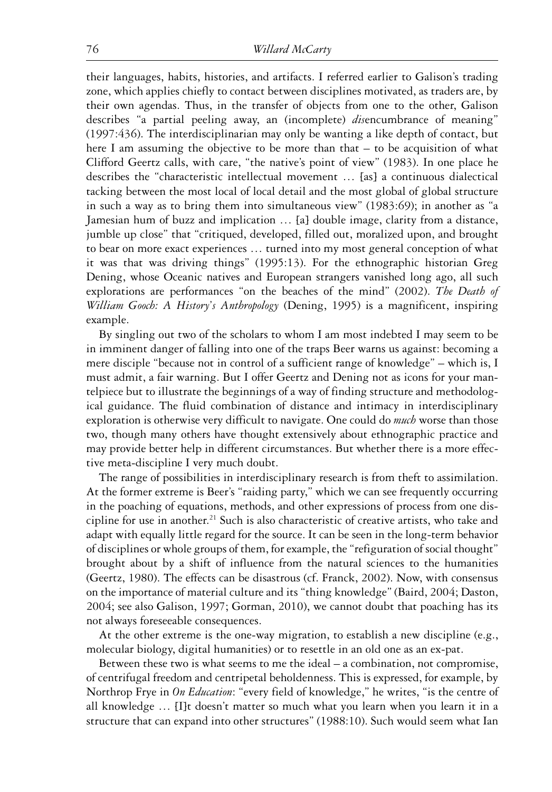their languages, habits, histories, and artifacts. I referred earlier to Galison's trading zone, which applies chiefly to contact between disciplines motivated, as traders are, by their own agendas. Thus, in the transfer of objects from one to the other, Galison describes "a partial peeling away, an (incomplete) *dis*encumbrance of meaning" (1997:436). The interdisciplinarian may only be wanting a like depth of contact, but here I am assuming the objective to be more than that – to be acquisition of what Clifford Geertz calls, with care, "the native's point of view" (1983). In one place he describes the "characteristic intellectual movement … [as] a continuous dialectical tacking between the most local of local detail and the most global of global structure in such a way as to bring them into simultaneous view" (1983:69); in another as "a Jamesian hum of buzz and implication … [a] double image, clarity from a distance, jumble up close" that "critiqued, developed, filled out, moralized upon, and brought to bear on more exact experiences … turned into my most general conception of what it was that was driving things" (1995:13). For the ethnographic historian Greg Dening, whose Oceanic natives and European strangers vanished long ago, all such explorations are performances "on the beaches of the mind" (2002). *The Death of William Gooch: A History*'*s Anthropology* (Dening, 1995) is a magnificent, inspiring example.

By singling out two of the scholars to whom I am most indebted I may seem to be in imminent danger of falling into one of the traps Beer warns us against: becoming a mere disciple "because not in control of a sufficient range of knowledge" – which is, I must admit, a fair warning. But I offer Geertz and Dening not as icons for your mantelpiece but to illustrate the beginnings of a way of finding structure and methodological guidance. The fluid combination of distance and intimacy in interdisciplinary exploration is otherwise very difficult to navigate. One could do *much* worse than those two, though many others have thought extensively about ethnographic practice and may provide better help in different circumstances. But whether there is a more effective meta‐discipline I very much doubt.

The range of possibilities in interdisciplinary research is from theft to assimilation. At the former extreme is Beer's "raiding party," which we can see frequently occurring in the poaching of equations, methods, and other expressions of process from one discipline for use in another.<sup>21</sup> Such is also characteristic of creative artists, who take and adapt with equally little regard for the source. It can be seen in the long‐term behavior of disciplines or whole groups of them, for example, the "refiguration of social thought" brought about by a shift of influence from the natural sciences to the humanities (Geertz, 1980). The effects can be disastrous (cf. Franck, 2002). Now, with consensus on the importance of material culture and its "thing knowledge" (Baird, 2004; Daston, 2004; see also Galison, 1997; Gorman, 2010), we cannot doubt that poaching has its not always foreseeable consequences.

At the other extreme is the one-way migration, to establish a new discipline (e.g., molecular biology, digital humanities) or to resettle in an old one as an ex‐pat.

Between these two is what seems to me the ideal – a combination, not compromise, of centrifugal freedom and centripetal beholdenness. This is expressed, for example, by Northrop Frye in *On Education*: "every field of knowledge," he writes, "is the centre of all knowledge … [I]t doesn't matter so much what you learn when you learn it in a structure that can expand into other structures" (1988:10). Such would seem what Ian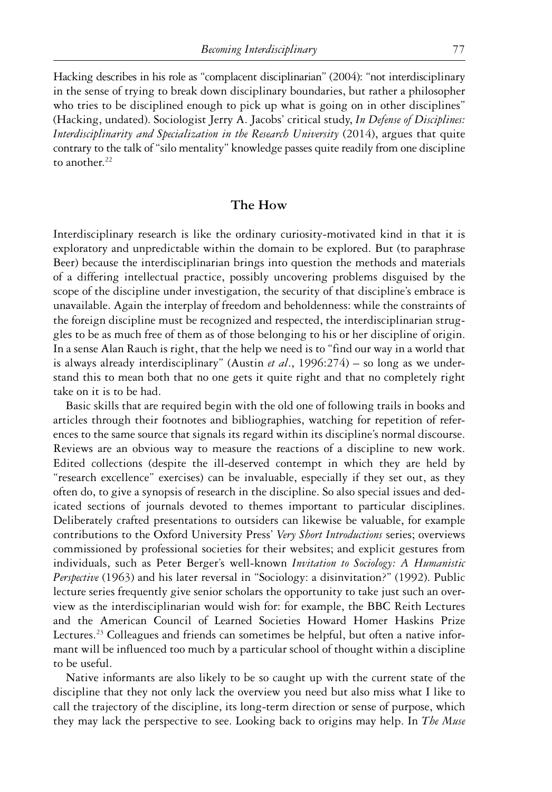Hacking describes in his role as "complacent disciplinarian" (2004): "not interdisciplinary in the sense of trying to break down disciplinary boundaries, but rather a philosopher who tries to be disciplined enough to pick up what is going on in other disciplines" (Hacking, undated). Sociologist Jerry A. Jacobs' critical study, *In Defense of Disciplines: Interdisciplinarity and Specialization in the Research University* (2014), argues that quite contrary to the talk of "silo mentality" knowledge passes quite readily from one discipline to another.22

## **The How**

Interdisciplinary research is like the ordinary curiosity‐motivated kind in that it is exploratory and unpredictable within the domain to be explored. But (to paraphrase Beer) because the interdisciplinarian brings into question the methods and materials of a differing intellectual practice, possibly uncovering problems disguised by the scope of the discipline under investigation, the security of that discipline's embrace is unavailable. Again the interplay of freedom and beholdenness: while the constraints of the foreign discipline must be recognized and respected, the interdisciplinarian struggles to be as much free of them as of those belonging to his or her discipline of origin. In a sense Alan Rauch is right, that the help we need is to "find our way in a world that is always already interdisciplinary" (Austin *et al*., 1996:274) – so long as we understand this to mean both that no one gets it quite right and that no completely right take on it is to be had.

Basic skills that are required begin with the old one of following trails in books and articles through their footnotes and bibliographies, watching for repetition of references to the same source that signals its regard within its discipline's normal discourse. Reviews are an obvious way to measure the reactions of a discipline to new work. Edited collections (despite the ill‐deserved contempt in which they are held by "research excellence" exercises) can be invaluable, especially if they set out, as they often do, to give a synopsis of research in the discipline. So also special issues and dedicated sections of journals devoted to themes important to particular disciplines. Deliberately crafted presentations to outsiders can likewise be valuable, for example contributions to the Oxford University Press' *Very Short Introductions* series; overviews commissioned by professional societies for their websites; and explicit gestures from individuals, such as Peter Berger's well‐known *Invitation to Sociology: A Humanistic Perspective* (1963) and his later reversal in "Sociology: a disinvitation?" (1992). Public lecture series frequently give senior scholars the opportunity to take just such an overview as the interdisciplinarian would wish for: for example, the BBC Reith Lectures and the American Council of Learned Societies Howard Homer Haskins Prize Lectures.<sup>23</sup> Colleagues and friends can sometimes be helpful, but often a native informant will be influenced too much by a particular school of thought within a discipline to be useful.

Native informants are also likely to be so caught up with the current state of the discipline that they not only lack the overview you need but also miss what I like to call the trajectory of the discipline, its long‐term direction or sense of purpose, which they may lack the perspective to see. Looking back to origins may help. In *The Muse*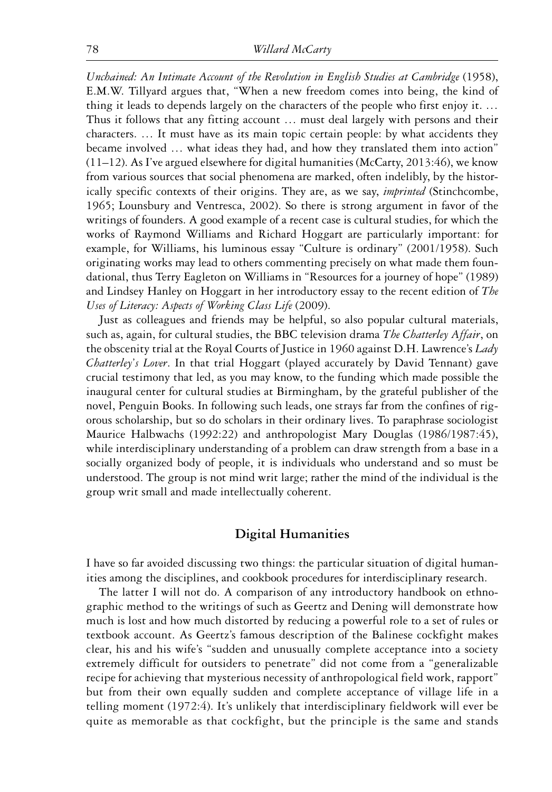*Unchained: An Intimate Account of the Revolution in English Studies at Cambridge* (1958), E.M.W. Tillyard argues that, "When a new freedom comes into being, the kind of thing it leads to depends largely on the characters of the people who first enjoy it. … Thus it follows that any fitting account … must deal largely with persons and their characters. … It must have as its main topic certain people: by what accidents they became involved … what ideas they had, and how they translated them into action" (11–12). As I've argued elsewhere for digital humanities (McCarty, 2013:46), we know from various sources that social phenomena are marked, often indelibly, by the historically specific contexts of their origins. They are, as we say, *imprinted* (Stinchcombe, 1965; Lounsbury and Ventresca, 2002). So there is strong argument in favor of the writings of founders. A good example of a recent case is cultural studies, for which the works of Raymond Williams and Richard Hoggart are particularly important: for example, for Williams, his luminous essay "Culture is ordinary" (2001/1958). Such originating works may lead to others commenting precisely on what made them foundational, thus Terry Eagleton on Williams in "Resources for a journey of hope" (1989) and Lindsey Hanley on Hoggart in her introductory essay to the recent edition of *The Uses of Literacy: Aspects of Working Class Life* (2009).

Just as colleagues and friends may be helpful, so also popular cultural materials, such as, again, for cultural studies, the BBC television drama *The Chatterley Affair*, on the obscenity trial at the Royal Courts of Justice in 1960 against D.H. Lawrence's *Lady Chatterley*'*s Lover*. In that trial Hoggart (played accurately by David Tennant) gave crucial testimony that led, as you may know, to the funding which made possible the inaugural center for cultural studies at Birmingham, by the grateful publisher of the novel, Penguin Books. In following such leads, one strays far from the confines of rigorous scholarship, but so do scholars in their ordinary lives. To paraphrase sociologist Maurice Halbwachs (1992:22) and anthropologist Mary Douglas (1986/1987:45), while interdisciplinary understanding of a problem can draw strength from a base in a socially organized body of people, it is individuals who understand and so must be understood. The group is not mind writ large; rather the mind of the individual is the group writ small and made intellectually coherent.

# **Digital Humanities**

I have so far avoided discussing two things: the particular situation of digital humanities among the disciplines, and cookbook procedures for interdisciplinary research.

The latter I will not do. A comparison of any introductory handbook on ethnographic method to the writings of such as Geertz and Dening will demonstrate how much is lost and how much distorted by reducing a powerful role to a set of rules or textbook account. As Geertz's famous description of the Balinese cockfight makes clear, his and his wife's "sudden and unusually complete acceptance into a society extremely difficult for outsiders to penetrate" did not come from a "generalizable recipe for achieving that mysterious necessity of anthropological field work, rapport" but from their own equally sudden and complete acceptance of village life in a telling moment (1972:4). It's unlikely that interdisciplinary fieldwork will ever be quite as memorable as that cockfight, but the principle is the same and stands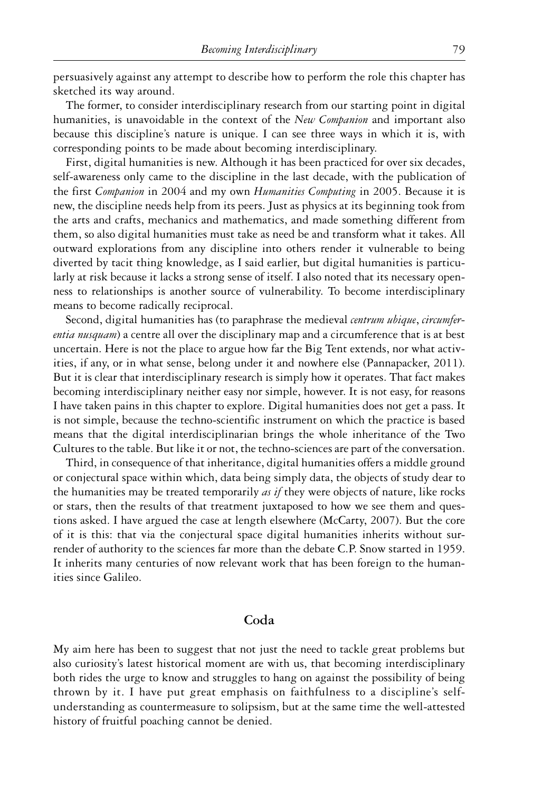persuasively against any attempt to describe how to perform the role this chapter has sketched its way around.

The former, to consider interdisciplinary research from our starting point in digital humanities, is unavoidable in the context of the *New Companion* and important also because this discipline's nature is unique. I can see three ways in which it is, with corresponding points to be made about becoming interdisciplinary.

First, digital humanities is new. Although it has been practiced for over six decades, self‐awareness only came to the discipline in the last decade, with the publication of the first *Companion* in 2004 and my own *Humanities Computing* in 2005. Because it is new, the discipline needs help from its peers. Just as physics at its beginning took from the arts and crafts, mechanics and mathematics, and made something different from them, so also digital humanities must take as need be and transform what it takes. All outward explorations from any discipline into others render it vulnerable to being diverted by tacit thing knowledge, as I said earlier, but digital humanities is particularly at risk because it lacks a strong sense of itself. I also noted that its necessary openness to relationships is another source of vulnerability. To become interdisciplinary means to become radically reciprocal.

Second, digital humanities has (to paraphrase the medieval *centrum ubique*, *circumferentia nusquam*) a centre all over the disciplinary map and a circumference that is at best uncertain. Here is not the place to argue how far the Big Tent extends, nor what activities, if any, or in what sense, belong under it and nowhere else (Pannapacker, 2011). But it is clear that interdisciplinary research is simply how it operates. That fact makes becoming interdisciplinary neither easy nor simple, however. It is not easy, for reasons I have taken pains in this chapter to explore. Digital humanities does not get a pass. It is not simple, because the techno‐scientific instrument on which the practice is based means that the digital interdisciplinarian brings the whole inheritance of the Two Cultures to the table. But like it or not, the techno‐sciences are part of the conversation.

Third, in consequence of that inheritance, digital humanities offers a middle ground or conjectural space within which, data being simply data, the objects of study dear to the humanities may be treated temporarily *as if* they were objects of nature, like rocks or stars, then the results of that treatment juxtaposed to how we see them and questions asked. I have argued the case at length elsewhere (McCarty, 2007). But the core of it is this: that via the conjectural space digital humanities inherits without surrender of authority to the sciences far more than the debate C.P. Snow started in 1959. It inherits many centuries of now relevant work that has been foreign to the humanities since Galileo.

# **Coda**

My aim here has been to suggest that not just the need to tackle great problems but also curiosity's latest historical moment are with us, that becoming interdisciplinary both rides the urge to know and struggles to hang on against the possibility of being thrown by it. I have put great emphasis on faithfulness to a discipline's self‐ understanding as countermeasure to solipsism, but at the same time the well-attested history of fruitful poaching cannot be denied.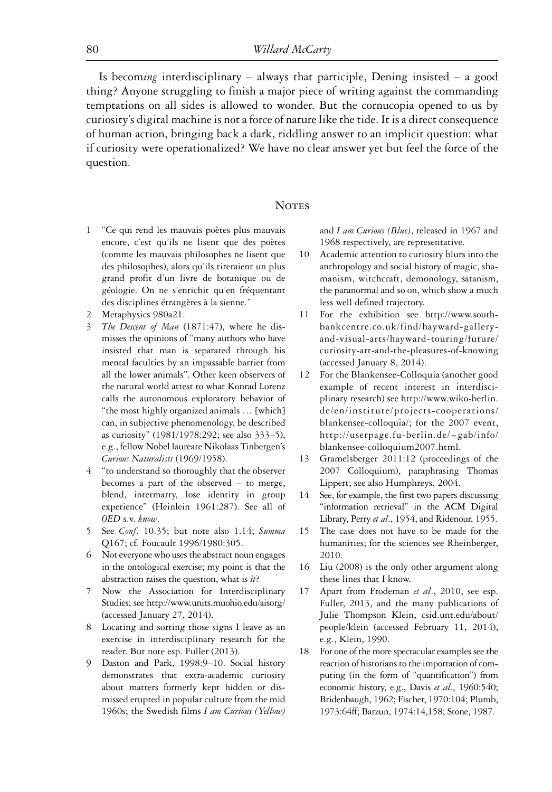Is becom*ing* interdisciplinary – always that participle, Dening insisted – a good thing? Anyone struggling to finish a major piece of writing against the commanding temptations on all sides is allowed to wonder. But the cornucopia opened to us by curiosity's digital machine is not a force of nature like the tide. It is a direct consequence of human action, bringing back a dark, riddling answer to an implicit question: what if curiosity were operationalized? We have no clear answer yet but feel the force of the question.

#### **NOTES**

- 1 "Ce qui rend les mauvais poètes plus mauvais encore, c'est qu'ils ne lisent que des poètes (comme les mauvais philosophes ne lisent que des philosophes), alors qu'ils tireraient un plus grand profit d'un livre de botanique ou de géologie. On ne s'enrichit qu'en fréquentant des disciplines étrangères à la sienne."
- 2 Metaphysics 980a21.
- 3 *The Descent of Man* (1871:47), where he dismisses the opinions of "many authors who have insisted that man is separated through his mental faculties by an impassable barrier from all the lower animals". Other keen observers of the natural world attest to what Konrad Lorenz calls the autonomous exploratory behavior of "the most highly organized animals … [which] can, in subjective phenomenology, be described as curiosity" (1981/1978:292; see also 333–5), e.g., fellow Nobel laureate Nikolaas Tinbergen's *Curious Naturalists* (1969/1958).
- 4 "to understand so thoroughly that the observer becomes a part of the observed – to merge, blend, intermarry, lose identity in group experience" (Heinlein 1961:287). See all of *OED* s.v. *know*.
- 5 See *Conf*. 10.35; but note also 1.14; *Summa* Q167; cf. Foucault 1996/1980:305.
- 6 Not everyone who uses the abstract noun engages in the ontological exercise; my point is that the abstraction raises the question, what is *it*?
- 7 Now the Association for Interdisciplinary Studies; see http://www.units.muohio.edu/aisorg/ (accessed January 27, 2014).
- 8 Locating and sorting those signs I leave as an exercise in interdisciplinary research for the reader. But note esp. Fuller (2013).
- 9 Daston and Park, 1998:9–10. Social history demonstrates that extra‐academic curiosity about matters formerly kept hidden or dismissed erupted in popular culture from the mid 1960s; the Swedish films *I am Curious (Yellow)*

and *I am Curious (Blue)*, released in 1967 and 1968 respectively, are representative.

- 10 Academic attention to curiosity blurs into the anthropology and social history of magic, shamanism, witchcraft, demonology, satanism, the paranormal and so on, which show a much less well defined trajectory.
- 11 For the exhibition see http://www.southbankcentre.co.uk/find/hayward‐gallery‐ and‐visual‐arts/hayward‐touring/future/ curiosity‐art‐and‐the‐pleasures‐of‐knowing (accessed January 8, 2014).
- 12 For the Blankensee-Colloquia (another good example of recent interest in interdisciplinary research) see http://www.wiko‐berlin. de/en/institute/projects‐cooperations/ blankensee‐colloquia/; for the 2007 event, http://userpage.fu‐berlin.de/~gab/info/ blankensee‐colloquium2007.html.
- 13 Gramelsberger 2011:12 (proceedings of the 2007 Colloquium), paraphrasing Thomas Lippert; see also Humphreys, 2004.
- 14 See, for example, the first two papers discussing "information retrieval" in the ACM Digital Library, Perry *et al*., 1954, and Ridenour, 1955.
- 15 The case does not have to be made for the humanities; for the sciences see Rheinberger, 2010.
- 16 Liu (2008) is the only other argument along these lines that I know.
- 17 Apart from Frodeman *et al*., 2010, see esp. Fuller, 2013, and the many publications of Julie Thompson Klein, csid.unt.edu/about/ people/klein (accessed February 11, 2014), e.g., Klein, 1990.
- 18 For one of the more spectacular examples see the reaction of historians to the importation of computing (in the form of "quantification") from economic history, e.g., Davis *et al*., 1960:540; Bridenbaugh, 1962; Fischer, 1970:104; Plumb, 1973:64ff; Barzun, 1974:14,158; Stone, 1987.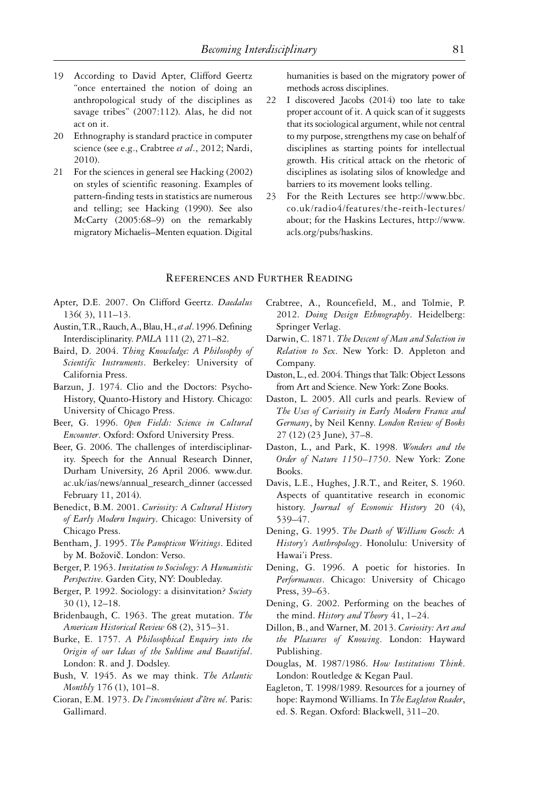- 19 According to David Apter, Clifford Geertz "once entertained the notion of doing an anthropological study of the disciplines as savage tribes" (2007:112). Alas, he did not act on it.
- 20 Ethnography is standard practice in computer science (see e.g., Crabtree *et al*., 2012; Nardi, 2010).
- 21 For the sciences in general see Hacking (2002) on styles of scientific reasoning. Examples of pattern‐finding tests in statistics are numerous and telling; see Hacking (1990). See also McCarty (2005:68–9) on the remarkably migratory Michaelis–Menten equation. Digital

humanities is based on the migratory power of methods across disciplines.

- 22 I discovered Jacobs (2014) too late to take proper account of it. A quick scan of it suggests that its sociological argument, while not central to my purpose, strengthens my case on behalf of disciplines as starting points for intellectual growth. His critical attack on the rhetoric of disciplines as isolating silos of knowledge and barriers to its movement looks telling.
- 23 For the Reith Lectures see http://www.bbc. co.uk/radio4/features/the‐reith‐lectures/ about; for the Haskins Lectures, http://www. acls.org/pubs/haskins.

#### References and further reading

- Apter, D.E. 2007. On Clifford Geertz. *Daedalus* 136( 3), 111–13.
- Austin, T.R., Rauch, A., Blau, H., *et al*. 1996. Defining Interdisciplinarity. *PMLA* 111 (2), 271–82.
- Baird, D. 2004. *Thing Knowledge: A Philosophy of Scientific Instruments*. Berkeley: University of California Press.
- Barzun, J. 1974. Clio and the Doctors: Psycho-History, Quanto‐History and History. Chicago: University of Chicago Press.
- Beer, G. 1996. *Open Fields: Science in Cultural Encounter*. Oxford: Oxford University Press.
- Beer, G. 2006. The challenges of interdisciplinarity. Speech for the Annual Research Dinner, Durham University, 26 April 2006. www.dur. ac.uk/ias/news/annual\_research\_dinner (accessed February 11, 2014).
- Benedict, B.M. 2001. *Curiosity: A Cultural History of Early Modern Inquiry*. Chicago: University of Chicago Press.
- Bentham, J. 1995. *The Panopticon Writings*. Edited by M. Božovič. London: Verso.
- Berger, P. 1963. *Invitation to Sociology: A Humanistic Perspective*. Garden City, NY: Doubleday.
- Berger, P. 1992. Sociology: a disinvitation? *Society* 30 (1), 12–18.
- Bridenbaugh, C. 1963. The great mutation. *The American Historical Review* 68 (2), 315–31.
- Burke, E. 1757. *A Philosophical Enquiry into the Origin of our Ideas of the Sublime and Beautiful*. London: R. and J. Dodsley.
- Bush, V. 1945. As we may think. *The Atlantic Monthly* 176 (1), 101–8.
- Cioran, E.M. 1973. *De l'inconvénient d'être né*. Paris: Gallimard.
- Crabtree, A., Rouncefield, M., and Tolmie, P. 2012. *Doing Design Ethnography*. Heidelberg: Springer Verlag.
- Darwin, C. 1871. *The Descent of Man and Selection in Relation to Sex*. New York: D. Appleton and Company.
- Daston, L., ed. 2004. Things that Talk: Object Lessons from Art and Science. New York: Zone Books.
- Daston, L. 2005. All curls and pearls. Review of *The Uses of Curiosity in Early Modern France and Germany*, by Neil Kenny. *London Review of Books* 27 (12) (23 June), 37–8.
- Daston, L., and Park, K. 1998. *Wonders and the Order of Nature 1150–1750*. New York: Zone Books.
- Davis, L.E., Hughes, J.R.T., and Reiter, S. 1960. Aspects of quantitative research in economic history. *Journal of Economic History* 20 (4), 539–47.
- Dening, G. 1995. *The Death of William Gooch: A History's Anthropology*. Honolulu: University of Hawai'i Press.
- Dening, G. 1996. A poetic for histories. In *Performances*. Chicago: University of Chicago Press, 39–63.
- Dening, G. 2002. Performing on the beaches of the mind. *History and Theory* 41, 1–24.
- Dillon, B., and Warner, M. 2013. *Curiosity: Art and the Pleasures of Knowing*. London: Hayward Publishing.
- Douglas, M. 1987/1986. *How Institutions Think*. London: Routledge & Kegan Paul.
- Eagleton, T. 1998/1989. Resources for a journey of hope: Raymond Williams. In *The Eagleton Reader*, ed. S. Regan. Oxford: Blackwell, 311–20.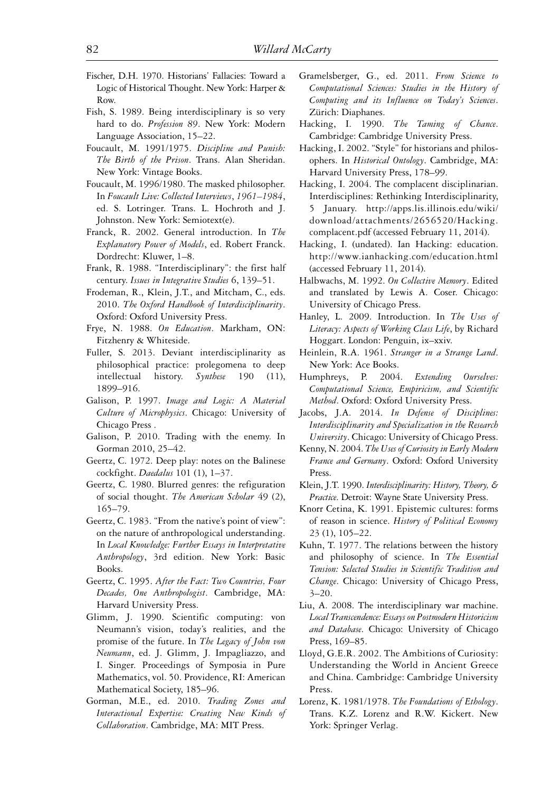- Fischer, D.H. 1970. Historians' Fallacies: Toward a Logic of Historical Thought. New York: Harper & Row.
- Fish, S. 1989. Being interdisciplinary is so very hard to do. *Profession 89*. New York: Modern Language Association, 15–22.
- Foucault, M. 1991/1975. *Discipline and Punish: The Birth of the Prison*. Trans. Alan Sheridan. New York: Vintage Books.
- Foucault, M. 1996/1980. The masked philosopher. In *Foucault Live: Collected Interviews*, *1961–1984*, ed. S. Lotringer. Trans. L. Hochroth and J. Johnston. New York: Semiotext(e).
- Franck, R. 2002. General introduction. In *The Explanatory Power of Models*, ed. Robert Franck. Dordrecht: Kluwer, 1–8.
- Frank, R. 1988. "Interdisciplinary": the first half century. *Issues in Integrative Studies* 6, 139–51.
- Frodeman, R., Klein, J.T., and Mitcham, C., eds. 2010. *The Oxford Handbook of Interdisciplinarity*. Oxford: Oxford University Press.
- Frye, N. 1988. *On Education*. Markham, ON: Fitzhenry & Whiteside.
- Fuller, S. 2013. Deviant interdisciplinarity as philosophical practice: prolegomena to deep intellectual history. *Synthese* 190 (11), 1899–916.
- Galison, P. 1997. *Image and Logic: A Material Culture of Microphysics*. Chicago: University of Chicago Press .
- Galison, P. 2010. Trading with the enemy. In Gorman 2010, 25–42.
- Geertz, C. 1972. Deep play: notes on the Balinese cockfight. *Daedalus* 101 (1), 1–37.
- Geertz, C. 1980. Blurred genres: the refiguration of social thought. *The American Scholar* 49 (2), 165–79.
- Geertz, C. 1983. "From the native's point of view": on the nature of anthropological understanding. In *Local Knowledge: Further Essays in Interpretative Anthropology*, 3rd edition. New York: Basic Books.
- Geertz, C. 1995. *After the Fact: Two Countries, Four Decades, One Anthropologist*. Cambridge, MA: Harvard University Press.
- Glimm, J. 1990. Scientific computing: von Neumann's vision, today's realities, and the promise of the future. In *The Legacy of John von Neumann*, ed. J. Glimm, J. Impagliazzo, and I. Singer. Proceedings of Symposia in Pure Mathematics, vol. 50. Providence, RI: American Mathematical Society, 185–96.
- Gorman, M.E., ed. 2010. *Trading Zones and Interactional Expertise: Creating New Kinds of Collaboration*. Cambridge, MA: MIT Press.
- Gramelsberger, G., ed. 2011. *From Science to Computational Sciences: Studies in the History of Computing and its Influence on Today's Sciences*. Zürich: Diaphanes.
- Hacking, I. 1990. *The Taming of Chance*. Cambridge: Cambridge University Press.
- Hacking, I. 2002. "Style" for historians and philosophers. In *Historical Ontology*. Cambridge, MA: Harvard University Press, 178–99.
- Hacking, I. 2004. The complacent disciplinarian. Interdisciplines: Rethinking Interdisciplinarity, 5 January. http://apps.lis.illinois.edu/wiki/ download/attachments/2656520/Hacking. complacent.pdf (accessed February 11, 2014).
- Hacking, I. (undated). Ian Hacking: education. http://www.ianhacking.com/education.html (accessed February 11, 2014).
- Halbwachs, M. 1992. *On Collective Memory*. Edited and translated by Lewis A. Coser. Chicago: University of Chicago Press.
- Hanley, L. 2009. Introduction. In *The Uses of Literacy: Aspects of Working Class Life*, by Richard Hoggart. London: Penguin, ix–xxiv.
- Heinlein, R.A. 1961. *Stranger in a Strange Land*. New York: Ace Books.
- Humphreys, P. 2004. *Extending Ourselves: Computational Science, Empiricism, and Scientific Method*. Oxford: Oxford University Press.
- Jacobs, J.A. 2014. *In Defense of Disciplines: Interdisciplinarity and Specialization in the Research University*. Chicago: University of Chicago Press.
- Kenny, N. 2004. *The Uses of Curiosity in Early Modern France and Germany*. Oxford: Oxford University Press.
- Klein, J.T. 1990. *Interdisciplinarity: History, Theory, & Practice*. Detroit: Wayne State University Press.
- Knorr Cetina, K. 1991. Epistemic cultures: forms of reason in science. *History of Political Economy* 23 (1), 105–22.
- Kuhn, T. 1977. The relations between the history and philosophy of science. In *The Essential Tension: Selected Studies in Scientific Tradition and Change*. Chicago: University of Chicago Press,  $3 - 20.$
- Liu, A. 2008. The interdisciplinary war machine. *Local Transcendence: Essays on Postmodern Historicism and Database*. Chicago: University of Chicago Press, 169–85.
- Lloyd, G.E.R. 2002. The Ambitions of Curiosity: Understanding the World in Ancient Greece and China. Cambridge: Cambridge University Press.
- Lorenz, K. 1981/1978. *The Foundations of Ethology*. Trans. K.Z. Lorenz and R.W. Kickert. New York: Springer Verlag.